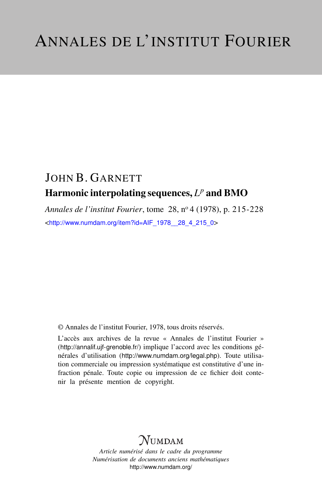## JOHN B. GARNETT Harmonic interpolating sequences,  $L^p$  and BMO

*Annales de l'institut Fourier*, tome 28, n<sup>o</sup> 4 (1978), p. 215-228 <[http://www.numdam.org/item?id=AIF\\_1978\\_\\_28\\_4\\_215\\_0](http://www.numdam.org/item?id=AIF_1978__28_4_215_0)>

© Annales de l'institut Fourier, 1978, tous droits réservés.

L'accès aux archives de la revue « Annales de l'institut Fourier » (<http://annalif.ujf-grenoble.fr/>) implique l'accord avec les conditions générales d'utilisation (<http://www.numdam.org/legal.php>). Toute utilisation commerciale ou impression systématique est constitutive d'une infraction pénale. Toute copie ou impression de ce fichier doit contenir la présente mention de copyright.

# NUMDAM

*Article numérisé dans le cadre du programme Numérisation de documents anciens mathématiques* <http://www.numdam.org/>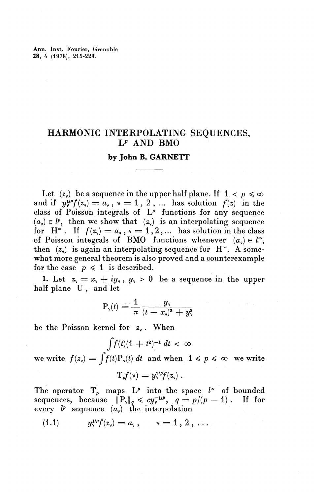## HARMONIC INTERPOLATING SEQUENCES,  $L^p$  AND BMO

### **by John B. GARNETT**

Let  $(z_0)$  be a sequence in the upper half plane. If  $1 < p \leq \infty$ and if  $y_v^{1/p} f(z_v) = a_v$ ,  $v = 1$ , 2, ... has solution  $f(z)$  in the class of Poisson integrals of  $L^p$  functions for any sequence  $(a_{\mathbf{v}}) \in l^p$ , then we show that  $(z_{\mathbf{v}})$  is an interpolating sequence for  $H^{\infty}$ . If  $f(z_0) = a_{\nu}$ ,  $\nu=1,2,...$  has solution in the class of Poisson integrals of BMO functions whenever  $(a_v) \in l^{\infty}$ , then  $(z_0)$  is again an interpolating sequence for H<sup> $\infty$ </sup>. A somewhat more general theorem is also proved and a counterexample for the case  $p \leq 1$  is described.

1. Let  $z_y = x_y + iy_y$ ,  $y_y > 0$  be a sequence in the upper half plane U , and let

$$
P_v(t) = \frac{1}{\pi} \frac{y_v}{(t-x_v)^2 + y_v^2}
$$

be the Poisson kernel for *z^* . When

$$
\int f(t)(1+t^2)^{-1} dt < \infty
$$
  
we write  $f(z_0) = \int f(t)P_v(t) dt$  and when  $1 \le p \le \infty$  we write
$$
T_p f(v) = y_v^{1/p} f(z_v).
$$

The operator  $T_p$  maps  $L^p$  into the space  $l^*$  of bounded sequences, because  $||P_v||_q \leq c y_v^{-1/p}$ ,  $q = p/(p-1)$ . If for every  $l^p$  sequence  $(a_n)$  the interpolation

$$
(1.1) \t y_{\nu}^{\nu} f(z_{\nu}) = a_{\nu}, \t \nu = 1, 2, \ldots
$$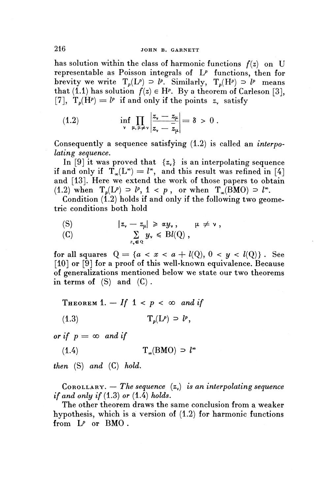has solution within the class of harmonic functions  $f(z)$  on U representable as Poisson integrals of *LP* functions, then for brevity we write  $T_p(L^p) \supset l^p$ . Similarly,  $T_p(H^p) \supset l^p$  means that (1.1) has solution  $f(z) \in H^p$ . By a theorem of Carleson [3], [7],  $T_p(H^p) = l^p$  if and only if the points z<sub>v</sub> satisfy

(1.2) 
$$
\inf_{\mathbf{v}} \prod_{\mu,\mu \neq \mathbf{v}} \left| \frac{z_{\mathbf{v}} - z_{\mu}}{z_{\mathbf{v}} - z_{\mu}} \right| = \delta > 0.
$$

Consequently a sequence satisfying (1.2) is called an *interpolating sequence.*

In [9] it was proved that  $\{z_{\nu}\}\$ is an interpolating sequence if and only if  $T_\infty(L^*) = l^*$ , and this result was refined in [4] and [13]. Here we extend the work of those papers to obtain (1.2) when  $T_p(L^p) = l^p$ ,  $1 < p$ , or when  $T_p(BMO) = l^{\infty}$ .

Condition  $(1.2)$  holds if and only if the following two geometric conditions both hold<br>
(S)  $|z_{\nu} - z_{\mu}| \ge \alpha y_{\nu}$ ,  $\mu \ne \nu$ ,

(S) 
$$
|z_{\nu} - z_{\mu}| \geq \alpha y_{\nu}, \quad \mu \neq \nu,
$$
  
\n(C)  $\sum_{z_{\nu} \in Q} y_{\nu} \leq Bl(Q),$ 

for all squares  $Q = \{a < x < a + l(Q), 0 < y < l(Q)\}$ . See [10] or [9] for a proof of this well-known equivalence. Because of generalizations mentioned below we state our two theorems in terms of  $(S)$  and  $(C)$ .

THEOREM 1.  $-$  If 1 < p <  $\infty$  and if

(1.3)  $T_p(L^p) = l^p$ ,

*or if*  $p = \infty$  *and if* 

 $(T_a(BMO) \supset l^{\infty})$ 

*then* (S) *and* (C) *hold.*

COROLLARY. — *The sequence*  $(z_y)$  *is an interpolating sequence if and only if* (1.3) *or* (1.4) *holds.*

The other theorem draws the same conclusion from a weaker hypothesis, which is a version of (1.2) for harmonic functions from *LP* or BMO .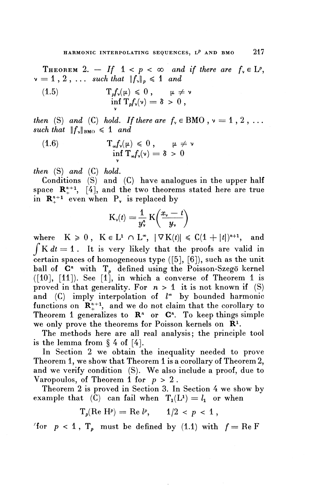THEOREM 2.  $-$  If  $1 < p < \infty$  and if there are  $f_v \in L^p$ ,  $v = 1, 2, \ldots$  such that  $||f_v||_p \leq 1$  and

(1.5) 
$$
\mathbf{T}_p f_{\mathsf{v}}(\mu) \leq 0, \quad \mu \neq \mathsf{v} \n\inf_{\mathsf{v}} \mathbf{T}_p f_{\mathsf{v}}(\mathsf{v}) = \delta > 0,
$$

*then* (S) and (C) hold. If there are  $f_v \in BMO$ ,  $v = 1, 2, ...$ *such that*  $||f_v||_{BMO} \le 1$  *and*  $\begin{align*}\n\text{en (S) and (C) hold. If there are } f_y \in \text{Bl} \\
\text{ch that } &\|f_y\|_{\text{BMO}} \leq 1 \text{ and} \\
\text{(1.6)} \quad &\qquad \text{T}_{\infty} f_y(\mu) \leq 0 \,, \qquad \mu \neq \infty \\
\text{or } &\qquad \text{T}_{\infty} f_y(\mu) \leq 0 \,, \qquad \mu \neq 0\n\end{align*}$ 

(1.6) 
$$
T_{\infty}f_{\nu}(\mu) \leq 0, \quad \mu \neq \nu
$$

$$
\inf_{\nu} T_{\infty}f_{\nu}(\nu) = \delta > 0
$$

*then*  $(S)$  *and*  $(C)$  *hold.* 

Conditions (S) and (C) have analogues in the upper half space  $\mathbb{R}^{n+1}_{+}$ , [4], and the two theorems stated here are true in  $\mathbb{R}^{n+1}$  even when  $P^{\prime}$  is replaced by

$$
K_{\nu}(t) = \frac{1}{y_{\nu}^{n}} K\left(\frac{x_{\nu} - t}{y_{\nu}}\right)
$$

where  $K \ge 0$ ,  $K \in L^1 \cap L^{\infty}$ ,  $|\nabla K(t)| \le C(1 + |t|)^{n+1}$ , and  $\int K dt = 1$ . It is very likely that the proofs are valid in certain spaces of homogeneous type  $([5], [6])$ , such as the unit ball of  $C<sup>n</sup>$  with  $T<sub>p</sub>$  defined using the Poisson-Szegö kernel  $(10]$ ,  $[11]$ ). See  $[1]$ , in which a converse of Theorem 1 is proved in that generality. For  $n > 1$  it is not known if (S) and  $(C)$  imply interpolation of  $l^*$  by bounded harmonic functions on  $\mathbb{R}^{n+1}_+$ , and we do not claim that the corollary to Theorem 1 generalizes to  $\mathbb{R}^n$  or  $\mathbb{C}^n$ . To keep things simple we only prove the theorems for Poisson kernels on **R<sup>1</sup> .**

The methods here are all real analysis; the principle tool is the lemma from  $\S 4$  of [4].

In Section 2 we obtain the inequality needed to prove Theorem 1, we show that Theorem 1 is a corollary of Theorem 2, and we verify condition (S). We also include a proof, due to Varopoulos, of Theorem 1 for *p >* 2 .

Theorem 2 is proved in Section 3. In Section 4 we show by example that  $\vec{c}$  can fail when  $T_1(L^1) = l_1$  or when

$$
T_p(\text{Re H}^p) = \text{Re } l^p, \qquad 1/2 < p < 1 \,,
$$

'for  $p < 1$ ,  $T_p$  must be defined by  $(1.1)$  with  $f = \text{Re } F$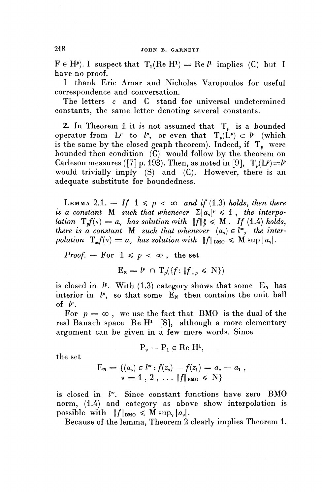$\mathbf{F} \in \mathbf{H}^p$ ). I suspect that  $\mathbf{T}_1(\text{Re } \mathbf{H}^1) = \text{Re } l^1$  implies (C) but I have no proof.

I thank Eric Amar and Nicholas Varopoulos for useful correspondence and conversation.

The letters *c* and C stand for universal undetermined constants, the same letter denoting several constants.

2. In Theorem 1 it is not assumed that  $T<sub>p</sub>$  is a bounded operator from  $L^p$  to  $l^p$ , or even that  $T_p(L^p) \subset l^p$  (which is the same by the closed graph theorem). Indeed, if  $T_p$  were bounded then condition  $(C)$  would follow by the theorem on Carleson measures ([7] p. 193). Then, as noted in [9],  $T_n(L^p)=l^p$ would trivially imply (S) and (C). However, there is an adequate substitute for boundedness.

LEMMA 2.1.  $-If \sim p < \infty$  and if (1.3) holds, then there *is a constant* M *such that whenever*  $\Sigma |a_{\nu}|^p \leq 1$ , the interpo*lation*  $T_p f(v) = a$ , has solution with  $||f||_p^p \le M$ . If (1.4) holds, *there is a constant* M such that whenever  $(a_{\gamma}) \in l^{\infty}$ , the inter*polation*  $T^{\mu}_{\mu}(\nu) = a^{\mu}_{\nu}$  has solution with  $||f||_{\text{BMO}} \leq M$  sup  $|a_{\nu}|$ .

*Proof.* — For  $1 \leqslant p < \infty$ , the set

$$
E_{N} = l^{p} \cap T_{p}(\{f: \|f\|_{p} \leq N\})
$$

is closed in  $l^p$ . With (1.3) category shows that some  $E_N$  has interior in  $l^p$ , so that some  $E_N$  then contains the unit ball of *IP.*

For  $p = \infty$ , we use the fact that BMO is the dual of the real Banach space Re  $H^1$  [8], although a more elementary argument can be given in a few more words. Since

$$
P_{\nu} - P_1 \in \text{Re } H^1,
$$

the set

$$
F_N = \{(a_\nu) \in l^\infty : f(z_\nu) - f(z_1) = a_\nu - a_1 ,
$$
  

$$
\nu = 1, 2, \dots ||f||_{BMO} \le N \}
$$

is closed in  $l^*$ . Since constant functions have zero BMO norm, (1.4) and category as above show interpolation is possible with  $||f||_{BMO} \leq M \sup_{\gamma} |a_{\gamma}|.$ 

Because of the lemma, Theorem 2 clearly implies Theorem 1.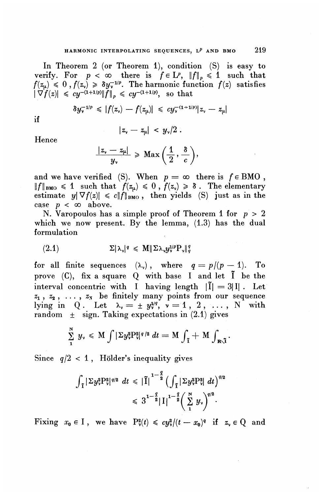In Theorem 2 (or Theorem 1), condition (S) is easy to verify. For  $p < \infty$  there is  $f \in L^p$ ,  $\|f\|_p \leq 1$  such that  $f(z_\mu) \leq 0$ ,  $f(z_\nu) \geq \delta y_\nu^{-1/p}$ . The harmonic function  $f(z)$  satisfies  $|\nabla f(z)| \leq c y^{-(1+1/p)} \|f\|_p \leq c y^{-(1+1/p)}$ , so that

$$
\delta y_{\mathsf{v}}^{(1+2/p)}\|f\|_{p} \leqslant c y^{(1+2/p)}, \text{ so that}
$$
  

$$
\delta y_{\mathsf{v}}^{-1/p} \leqslant |f(z_{\mathsf{v}})-f(z_{\mathsf{\mu}})| \leqslant c y_{\mathsf{v}}^{-(1+1/p)}|z_{\mathsf{v}}-z_{\mathsf{\mu}}|
$$

if

$$
|z_{\nu}-z_{\mu}|~<~y_{\nu}/2~.
$$

Hence

$$
\frac{|z_{\mathsf{v}}-z_{\mathsf{u}}|}{y_{\mathsf{v}}}\geqslant \mathrm{Max}\left(\frac{1}{2},\frac{\delta}{c}\right),
$$

and we have verified (S). When  $p = \infty$  there is  $f \in BMO$ ,  $\|f\|_{\text{BMO}} \leq 1$  such that  $f(z_\mu) \leq 0$ ,  $f(z_\nu) \geq 8$ . The elementary estimate  $y|\nabla f(z)| \leq c\|f\|_{BMO}$ , then yields (S) just as in the case  $p < \infty$  above.

N. Varopoulos has a simple proof of Theorem 1 for *p >* 2 which we now present. By the lemma,  $(1.3)$  has the dual formulation

$$
(2.1) \t\t \t\t \Sigma |\lambda_{\mathsf{v}}|^q \leqslant M \| \Sigma \lambda_{\mathsf{v}} y_{\mathsf{v}}^{1/p} P_{\mathsf{v}} \|_q^q
$$

for all finite sequences  $(\lambda_{\nu})$ , where  $q = p/(p - 1)$ . To prove  $(C)$ , fix a square Q with base I and let  $\tilde{I}$  be the interval concentric with I having length  $|\tilde{I}| = 3|I|$ . Let  $z_1$ ,  $z_2$ , ...,  $z_N$  be finitely many points from our sequence lying in Q. Let  $\lambda_{\nu} = \pm y_{\nu}^{1/q}, \nu = 1, 2, \ldots, N$  with random  $\pm$  sign. Taking expectations in (2.1) gives

$$
\sum_{1}^{N} y_{\nu} \leqslant M \int |\Sigma y_{\nu}^{2} P_{\nu}^{2}|^{q/2} dt = M \int_{\tilde{\mathbf{I}}} + M \int_{\mathbf{R}\setminus \tilde{\mathbf{I}}}.
$$

Since  $q/2 < 1$ , Hölder's inequality gives

$$
\int_{\tilde{\mathbf{I}}} |\Sigma y_{\mathbf{v}}^2 P_{\mathbf{v}}^2|^{q/2} \, dt \leq |\tilde{\mathbf{I}}|^{1-\frac{q}{2}} \left( \int_{\tilde{\mathbf{I}}} |\Sigma y_{\mathbf{v}}^2 P_{\mathbf{v}}^2| \, dt \right)^{q/2} \leq 3^{1-\frac{q}{2}} |\mathbf{I}|^{1-\frac{q}{2}} \left( \sum_{1}^{N} y_{\mathbf{v}} \right)^{q/2}.
$$

Fixing  $x_0 \in I$ , we have  $P^2_{\nu}(t) \leqslant cy^2_{\nu}/(t - x_0)^q$  if  $z_{\nu} \in Q$  and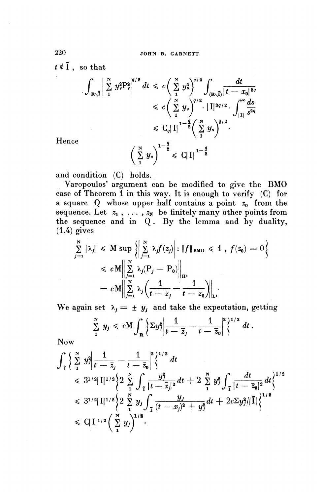$t \notin \tilde{I}$ , so that

$$
\int_{\mathbb{R}\setminus\tilde{I}} \left| \sum_{1}^{N} y_{\nu}^{2} P_{\nu}^{2} \right|^{q/2} dt \leqslant c \left( \sum_{1}^{N} y_{\nu}^{4} \right)^{q/2} \int_{(\mathbb{R}\setminus\tilde{I})} \frac{dt}{|t - x_{0}|^{2q}}
$$
\n
$$
\leqslant c \left( \sum_{1}^{N} y_{\nu} \right)^{q/2} \cdot |I|^{3q/2} \cdot \int_{|I|}^{\infty} \frac{ds}{s^{2q}}
$$
\n
$$
\leqslant C_{q} |I|^{1-\frac{q}{2}} \left( \sum_{1}^{N} y_{\nu} \right)^{q/2}.
$$
\n
$$
\left( \sum_{1}^{N} y_{\nu} \right)^{1-\frac{q}{2}} \leqslant C |I|^{1-\frac{q}{2}}
$$

Hence

and condition (C) holds.

Varopoulos' argument can be modified to give the BMO case of Theorem  $\overline{1}$  in this way. It is enough to verify (C) for a square Q whose upper half contains a point  $z_0$  from the a square Q whose upper half contains a point  $z_0$  from th<br>sequence. Let  $z_1, \ldots, z_N$  be finitely many other points from sequence. Let  $z_1, \ldots, z_N$  be finitely many other points it.<br>the sequence and in  $\Omega$ . By the lemma and by dualit  $(1.4)$  gives

$$
\sum_{j=1}^{N} |\lambda_j| \leq M \sup \left\{ \left| \sum_{j=1}^{N} \lambda_j f(z_j) \right| : \|f\|_{\text{BMO}} \leq 1, \ f(z_0) = 0 \right\}
$$
  
\n
$$
\leq c M \left\| \sum_{j=1}^{N} \lambda_j (P_j - P_0) \right\|_{H^1}
$$
  
\n
$$
= c M \left\| \sum_{j=1}^{N} \lambda_j \left( \frac{1}{t - \overline{z}_j} - \frac{1}{t - \overline{z}_0} \right) \right\|_{L^1}
$$
  
\nWe again set  $\lambda_i = + u_i$  and take the expectation, gettin

$$
\sum_{1}^{N} y_j \leq c M \int_{R} \left\{ \Sigma y_j^2 \middle| \frac{1}{t - \overline{z}_j} - \frac{1}{t - \overline{z}_0} \right\}^{2} dt.
$$

Now

 $\sim$ 

Now  
\n
$$
\int_{\tilde{t}} \left\{ \sum_{i=1}^{N} y_{i}^{2} \Big| \frac{1}{t - \bar{z}_{j}} - \frac{1}{t - \bar{z}_{0}} \Big|^{2} \right\}^{1/2} dt
$$
\n
$$
\leq 3^{1/2} |\mathbf{I}|^{1/2} \left\{ 2 \sum_{i=1}^{N} \int_{\tilde{t}} \frac{y_{j}^{2}}{|t - \bar{z}_{j}|^{2}} dt + 2 \sum_{i=1}^{N} y_{i}^{2} \int_{\tilde{t}} \frac{dt}{|t - \bar{z}_{0}|^{2}} dt \right\}^{1/2}
$$
\n
$$
\leq 3^{1/2} |\mathbf{I}|^{1/2} \left\{ 2 \sum_{i=1}^{N} y_{j} \int_{\tilde{t}} \frac{y_{j}}{(t - x_{j})^{2} + y_{j}^{2}} dt + 2c \Sigma y_{j}^{2} / |\tilde{I}| \right\}^{1/2}
$$
\n
$$
\leq C |\mathbf{I}|^{1/2} \left( \sum_{i=1}^{N} y_{j} \right)^{1/2}.
$$

220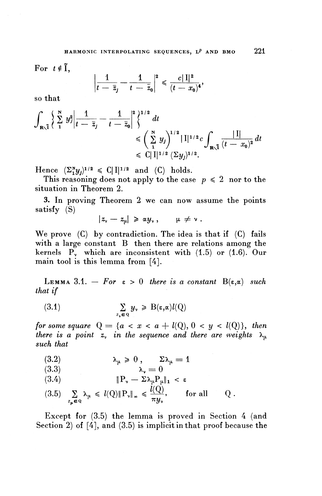For  $t \notin \tilde{I}$ ,

$$
\left|\frac{1}{t-\bar{z}_j}-\frac{1}{t-\bar{z}_0}\right|^2\leqslant\frac{c\|I\|^2}{(t-x_0)^4},
$$

so **that**

$$
\int_{\mathbf{R}\backslash\tilde{I}}\left\{\sum_{i=1}^{N}y_{j}^{2}\bigg|\frac{1}{t-\bar{z}_{j}}-\frac{1}{t-\bar{z}_{0}}\bigg|^{2}\right\}^{1/2}dt
$$
\n
$$
\leqslant \left(\sum_{i=1}^{N}y_{j}\right)^{1/2}\left|\left|\left|\left|\right|^{1/2}c\int_{\mathbf{R}\backslash\tilde{I}}\frac{\left|\left|\right|\right|}{(t-x_{0})^{2}}\right|dt\right|
$$
\n
$$
\leqslant C\left|\left|\left|\left|\right|^{1/2}\left(\sum y_{j}\right)\right|^{1/2}\right|
$$

Hence  $(\Sigma_{1}^{x}y_{j})^{1/2} \leq C\|I\|^{1/2}$  and  $(C)$  holds.

This reasoning does not apply to the case  $p \leq 2$  nor to the situation in Theorem 2.

3. In proving Theorem 2 we can now assume the points satisfy (S)

$$
|z_{\nu}-z_{\mu}|\geqslant \alpha y_{\nu}\,,\qquad \mu\neq \nu\,.
$$

**We** prove (C) by contradiction. The idea is that if (C) fails with a large constant B then there are relations among the kernels P<sub>y</sub> which are inconsistent with (1.5) or (1.6). Our main tool is this lemma from [4].

LEMMA 3.1.  $-$  For  $\varepsilon > 0$  there is a constant  $B(\varepsilon, \alpha)$  such *that if*

(3.1) 
$$
\sum_{z_{\nu} \in Q} y_{\nu} \geq B(\epsilon, \alpha) l(Q)
$$

*for some square*  $Q = \{a < x < a + l(Q), 0 < y < l(Q)\},\$  then *there is a point z*, in the sequence and there are weights  $\lambda_{\mu}$ *such that*

(3.2) 
$$
\lambda_{\mu} \geq 0, \qquad \Sigma \lambda_{\mu} = 1
$$

$$
\begin{array}{ccc}\n\langle 3.3 \rangle & & \lambda_{\nu} = 0 \\
\end{array}
$$

(3.4) 
$$
\|\mathbf{P}_{\mathbf{v}} - \Sigma \lambda_{\mu} \mathbf{P}_{\mu}\|_{1} < \varepsilon
$$

(3.5)  $\sum_{z_{\mu}\in\mathcal{Q}}\lambda_{\mu} \le l(Q)\|P_{\nu}\|_{\infty} \le \frac{l(Q)}{\pi y_{\nu}}, \quad \text{for all} \quad Q.$ 

Except for (3.5) the lemma is proved in Section 4 (and Section 2) of [4], and (3.5) is implicit in that proof because the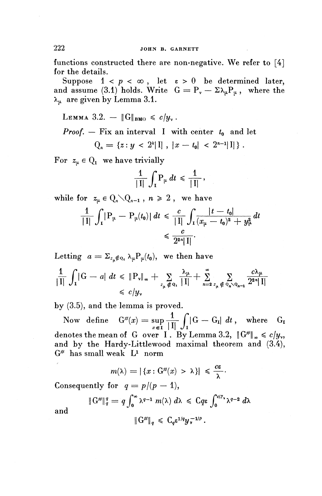functions constructed there are non-negative. We refer to [4] for the details.

Suppose  $1 < p < \infty$ , let  $\epsilon > 0$  be determined later, and assume (3.1) holds. Write  $G = P_y - \Sigma \lambda_\mu P_\mu$ , where the  $\lambda_{\mu}$  are given by Lemma 3.1.

LEMMA 3.2. — 
$$
\|G\|_{\text{BMO}} \leq c/y
$$
. *Proof.* — Fix an interval I with center  $t_0$  and let  $Q_n = \{z : y < 2^k |I|, |x - t_0| < 2^{n-1}|I|\}$ .

For  $z_{\mu} \in Q_1$  we have trivially

$$
\frac{1}{|I|}\int_I P_\mu dt \leq \frac{1}{|I|},
$$

while for  $z_{\mu} \in Q_{n} \setminus Q_{n-1}$ ,  $n \geq 2$ , we have

$$
\frac{1}{|1|}\int_{1}^{\cdot}|P_{\mu}-P_{\mu}(t_{0})|\,dt \leq \frac{c}{|1|}\int_{1}\frac{|t-t_{0}|}{(x_{\mu}-t_{0})^{2}+y_{\mu}^{2}}\,dt
$$
  

$$
\leq \frac{c}{2^{2n}|1|}.
$$

Letting 
$$
a = \sum_{z_{\mu} \notin Q_1} \lambda_{\mu} P_{\mu}(t_0)
$$
, we then have  
\n
$$
\frac{1}{|I|} \int_{I} |G - a| dt \leq \|P_{\nu}\|_{\infty} + \sum_{z_{\mu} \notin Q_1} \frac{\lambda_{\mu}}{|I|} + \sum_{n=2}^{\infty} \sum_{z_{\mu} \notin Q_n \setminus Q_{n-1}} \frac{c \lambda_{\mu}}{2^{2n} |I|}
$$
\n
$$
\leq c/y_{\nu}
$$

by (3.5), and the lemma is proved.

Now define  $\mathrm{G}^{\#}(x) = \sup \frac{1}{\square \square} \int |\mathrm{G} - \mathrm{G}_{\mathrm{I}}| \; dt \, , \quad \text{where} \quad \mathrm{G}_{\mathrm{I}}$  $\int_{x \in I} |I| J_I$ denotes the mean of G over I. By Lemma 3.2,  $\|G^{\#}\|_{\infty} \leq c/y_{\rm v}$ , and by the Hardy-Littlewood maximal theorem and (3.4),  $\mathrm{G}^{\#}$  has small weak  $\mathrm{L}^{\mathrm{1}}$  norm

$$
m(\lambda)=|\left\{x:\mathbf{G}^\#(x)\,>\,\lambda\right\}|\;\leqslant\,\frac{c\varepsilon}{\lambda}\cdot
$$

Consequently for  $q = p/(p-1)$ ,

$$
\|G^{\#}\|_{q}^{q} = q \int_{0}^{\infty} \lambda^{q-1} m(\lambda) d\lambda \leq C q \epsilon \int_{0}^{c/y} \lambda^{q-2} d\lambda
$$
  

$$
\|G^{\#}\|_{q} \leq C_{q} \epsilon^{1/q} y_{\nu}^{-1/p}.
$$

and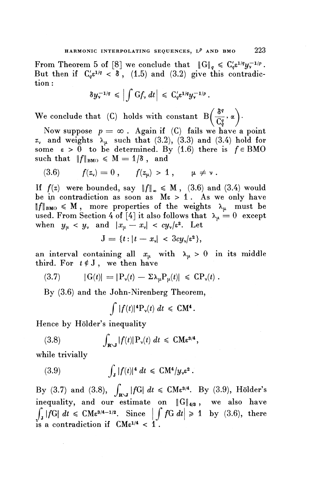From Theorem 5 of [8] we conclude that  $\|G\|_q \leq C_q'\varepsilon^{1/q}y_\nu^{-1/p}$ . But then if  $C'_{q} \epsilon^{1/q} < \delta$ , (1.5) and (3.2) give this contradiction :

$$
\delta y_{\mathsf{v}}^{-1/q} \leqslant \left| \int \mathrm{G} f_{\mathsf{v}} \, dt \right| \, \leqslant \, \mathrm{G}'_{q} \varepsilon^{1/q} y_{\mathsf{v}}^{-1/p} \, .
$$

*(*  $\delta^q$  \ We conclude that (C) holds with constant  $B\left(\frac{\delta^q}{C_q^q}, \alpha\right)$ .

Now suppose  $p = \infty$ . Again if (C) fails we have a point  $z<sub>y</sub>$  and weights  $\lambda_{\mu}$  such that (3.2), (3.3) and (3.4) hold for some  $\varepsilon > 0$  to be determined. By (1.6) there is  $f \in BMO$ such that  $||f||_{BMO} \le M = 1/\delta$ , and

(3.6) 
$$
f(z_{\nu}) = 0
$$
,  $f(z_{\mu}) > 1$ ,  $\mu \neq \nu$ .

If  $f(z)$  were bounded, say  $\|f\|_{\infty} \le M$ , (3.6) and (3.4) would be in contradiction as soon as  $M\varepsilon > 1$ . As we only have  $||f||_{BMO} \leq M$ , more properties of the weights  $\lambda_{\mu}$  must be used. From Section 4 of [4] it also follows that  $\lambda_{\mu} = 0$  except when  $y_u < y_v$  and  $|x_u - x_v| < cy_v/\varepsilon^2$ . Let

$$
J = \{t : |t - x_{\nu}| < 3cy_{\nu}/\varepsilon^2\},
$$

an interval containing all  $x_\mu$  with  $\lambda_\mu > 0$  in its middle an interval containing all  $x_{\mu}$  with  $\lambda_{\mu} > 0$  is<br>third. For  $t \notin J$ , we then have<br>(3.7)  $|G(t)| = |P_{\nu}(t) - \Sigma \lambda_{\mu}P_{\mu}(t)| \leq CP_{\nu}(t)$ .

$$
(3.7) \qquad |G(t)| = |P_{\nu}(t) - \Sigma \lambda_{\mu} P_{\mu}(t)| \leq C P_{\nu}(t) .
$$

By (3.6) and the John-Nirenberg Theorem,<br>  $\int |f(t)|^4 \mathcal{P}_v(t) dt \leq C M^4$ .

$$
\int |f(t)|^4 \mathbf{P}_\mathbf{v}(t) \; dt \; \leqslant \; \mathbf{C}\mathbf{M}^4
$$

Hence by Hölder's inequality  
(3.8) 
$$
\int_{\mathbf{R}\backslash J} |f(t)| P_{\nu}(t) dt \leq C M \varepsilon^{3/4},
$$

**while trivially**

(3.9) 
$$
\int_{\mathbf{J}} |f(t)|^4 dt \leq C M^4 / y_{\nu} \varepsilon^2.
$$

By (3.7) and (3.8),  $\int_{\mathbf{R}\backslash J}|fG| dt \leq C M \epsilon^{3/4}$ . By (3.9), Hölder's **inequality, and our estimate on** ||G[4/3 , **we also have**  $\int_{I} |f G| \ dt \leq C M \epsilon^{3/4 - 1/2}$ estimate on  $\|G\|_{4/3}$ , we also have<br>  $\therefore$  Since  $\left|\int f G \ dt\right| \geq 1$  by (3.6), there is a contradiction if  $CM\varepsilon^{1/4} < 1$ .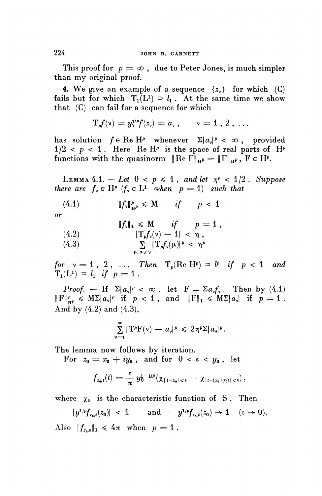This proof for  $p = \infty$ , due to Peter Jones, is much simpler than my original proof.

4. We give an example of a sequence  $\{z_{\gamma}\}\;$  for which (C) fails but for which  $T_1(L^1) \supseteq l_1$ . At the same time we show that (C) can fail for a sequence for which

$$
T_p f(v) = y_v^{1/p} f(z_v) = a_v, \qquad v = 1, 2, \ldots
$$

has solution  $f \in \text{Re } H^p$  whenever  $\Sigma |a_v|^p < \infty$ , provided  $1/2 < p < 1$ . Here Re  $H^p$  is the space of real parts of  $H^p$ functions with the quasinorm  $\| \text{Re } F\|_{H^p} = \|F\|_{H^p}, F \in H^p.$ 

LEMMA 4.1. - Let  $0 < p \le 1$ , and let  $\eta^p < 1/2$ . Suppose *there are*  $f_y \in H^p$  ( $f_y \in L^1$  when  $p = 1$ ) such that

(4.1) 
$$
\|f_{\nu}\|_{\mathbf{H}^p}^p \leqslant M \quad \text{if} \quad p < 1
$$

(4.2) 
$$
\|f_{\nu}\|_{1} \leq M \quad \text{if} \quad p = 1,
$$
  
\n
$$
\|T_{p}f_{\nu}(\nu) - 1| < \eta,
$$
  
\n
$$
\sum_{\mu, \mu \neq \nu} |T_{p}f_{\nu}(\mu)|^{p} < \eta^{p}
$$

for  $v = 1, 2, \ldots$  Then  $T_p(\text{Re } H^p) \supset l^p$  if  $p < 1$  and  $T_0(T \vee T) = 1, 2, ...$ <br> $T_n(L) \supset L$  if  $n = 1$ 

*Proof.* — If  $\Sigma |a_{\nu}|^p < \infty$ , let  $F = \Sigma a_{\nu} f_{\nu}$ . Then by (4.1)  $||F||_{\mathbf{u}^p}^p \leqslant M\Sigma |a_{\mathbf{v}}|^p$  if  $p < 1$ , and  $||F||_1 \leqslant M\Sigma |a_{\mathbf{v}}|$  if  $p = 1$ . **And by** (4.2) **and** (4.3),

$$
\sum_{\nu=1}^{\infty} |T^{\rho}F(\nu) - a_{\nu}|^p \leq 2\eta^p \Sigma |a_{\nu}|^p.
$$

The lemma now follows by iteration.

he lemma now follows by iteration.<br>For  $z_0 = x_0 + i y_0$ , and for  $0 < \varepsilon < y_0$ , let

$$
f_{z_0,\varepsilon}(t)=\frac{\varepsilon}{\pi} y_0^{1-1/p}(\chi_{|t-x_0|<\varepsilon}-\chi_{|t-(x_0+y_0)|<\varepsilon}),
$$

where  $\chi_s$  is the characteristic function of S. Then

 $|y^{1/p}f_{z_0,\varepsilon}(z_0)| < 1$  and  $y^{1/p}f_{z_0,\varepsilon}(z_0) \to 1$  ( $\varepsilon \to 0$ ). Also  $\|f_{z_0,\varepsilon}\|_1 \leq 4\pi$  when  $p=1$ .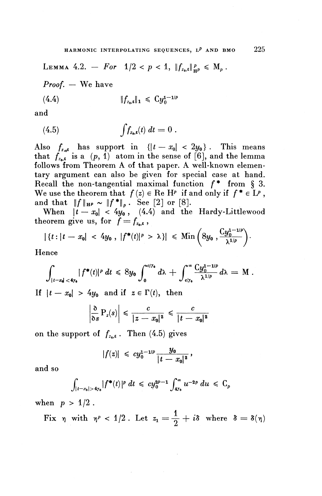LEMMA 4.2. -- *For*  $1/2 < p < 1$ ,  $||f_{z_0, \varepsilon}||_{H^p}^p \le M_p$ .

*Proof. —* We have

(4.4) 
$$
||f_{z_0,\epsilon}||_1 \leq C y_0^{1-1/p}
$$

**and**

(4.5) 
$$
\int f_{z_0,\epsilon}(t) dt = 0.
$$

Also  $f_{z,s}$  has support in  ${|t-x_0 | < 2y_0}|$ . This means that  $f_{z_0}^{(1)}$  is a  $(p, 1)$  atom in the sense of [6], and the lemma follows from Theorem A of that paper. A well-known elementary argument can also be given for special case at hand. Recall the non-tangential maximal function  $f^*$  from § 3. We use the theorem that  $f(z) \in \text{Re }\mathcal{H}^p$  if and only if  $f^* \in \mathcal{L}^p$ , We use the theorem that  $f(z) \in \text{Re }\mathcal{H}^p$  if and that  $||f||_{\mathcal{H}^p} \sim ||f^*||_p$ . See [2] or [8].

When  $|t - x_0| < 4y_0$ , (4.4) and the Hardy-Littlewood<br>theorem give us, for  $f = f_{z_0,\varepsilon}$ ,

$$
|\{t: |t-x_0| < 4y_0, |f^*(t)|^p > \lambda\}| \leq \mathrm{Min}\left(8y_0, \frac{Cy_0^{1-1/p}}{\lambda^{1/p}}\right).
$$

**Hence**

$$
\int_{|t-x_0|<4y_0} |f^*(t)|^p dt \leq 8y_0 \int_0^{c/y_0} d\lambda + \int_{c/y_0}^{\infty} \frac{Cy_0^{1-1/p}}{\lambda^{1/p}} d\lambda = M.
$$

If  $|t - x_0| > 4y_0$  and if  $z \in \Gamma(t)$ , then

$$
\left|\frac{\delta}{\delta s} P_z(s)\right| \leqslant \frac{c}{|z - x_0|^2} \leqslant \frac{c}{|t - x_0|^2}
$$

on the support of  $f_{z_0,\varepsilon}$ . Then (4.5) gives

$$
|f(z)| \ \leqslant \ c y_0^{1-1/p} \frac{y_0}{|t-x_0|^2} \,,
$$

**and** so

$$
\int_{|t-x_0|>4y_0}|f^*(t)|^p dt \leq c y_0^{2p-1} \int_{4y_0}^{\infty} u^{-2p} du \leq C_p
$$

when  $p > 1/2$ .

Fix 
$$
\eta
$$
 with  $\eta^p < 1/2$ . Let  $z_1 = \frac{1}{2} + i\delta$  where  $\delta = \delta(\eta)$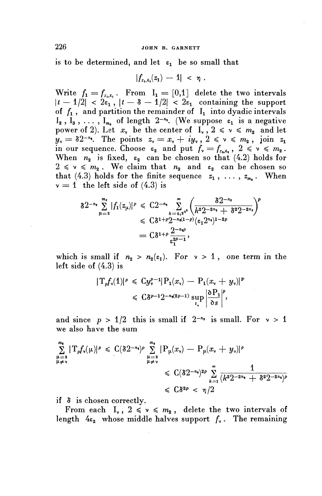#### 226 JOHN B. GARNETT

is to be determined, and let  $\varepsilon_1$  be so small that<br> $|f_{z_i,\varepsilon_i}(z_1) - 1| < \eta$ .

$$
|f_{z_1,\varepsilon_1}(z_1)-1| < \eta.
$$

Write  $f_1 = f_{z_1,z_2}$ . From  $I_1 = [0,1]$  delete the two intervals  $|t - 1/2| < 2\varepsilon_1$ ,  $|t - \delta - 1/2| < 2\varepsilon_1$  containing the support of  $f_1$ , and partition the remainder of  $I_1$  into dyadic intervals  $I_2$ ,  $I_3$ , ...,  $I_{m_*}$  of length  $2^{-n_*}$ . (We suppose  $\varepsilon_1$  is a negative power of 2). Let  $x_v$  be the center of  $1_v$ ,  $2 \le v \le m<sub>2</sub>$  and let  $y_y = \delta 2^{-n_x}$ . The points  $z_y = x_y + iy_y$ ,  $2 \le y \le m_2$ , join  $z_1$ in our sequence. Choose  $\epsilon_2$  and put  $f_v = f_{z_0, \epsilon_2}$ ,  $2 \le v \le m_2$ . When  $n_2$  is fixed,  $\varepsilon_2$  can be chosen so that (4.2) holds for  $2 \leq v \leq m_2$ . We claim that  $n_2$  and  $\varepsilon_2$  can be chosen so that (4.3) holds for the finite sequence  $z_1$ , ...,  $z_m$ . When  $v = 1$  the left side of  $(4.3)$  is

$$
\delta 2^{-n_{\sharp}} \sum_{\mu=2}^{m_{\sharp}} |f_1(z_{\mu})|^p \leq C 2^{-n_{\sharp}} \sum_{k=\varepsilon_1 2^{n_{\sharp}}}^{\infty} \left( \frac{\delta 2^{-n_{\sharp}}}{k^2 2^{-2n_{\sharp}} + \delta^2 2^{-2n_{\sharp}}} \right)^p
$$
  

$$
\leq C \delta^{1+p} 2^{-n_{\sharp}(1-p)} (\varepsilon_1 2^{n_{\sharp}})^{1-2p}
$$
  

$$
= C \delta^{1+p} \frac{2^{-n_{\sharp}p}}{\varepsilon_1^{2p-1}},
$$

which is small if  $n_2 > n_2(\epsilon_1)$ . For  $v > 1$ , one term in the left side of (4.3) is

$$
\begin{aligned} (4.3) \text{ is } \\ |T_p f_v(1)|^p &\leq C y_v^{p-1} |P_1(x_v) - P_1(x_v + y_v)|^p \\ &\leq C \delta^{p-1} 2^{-n \cdot (2p-1)} \sup_{I_v} \left| \frac{\partial P_1}{\partial s} \right|^p, \end{aligned}
$$

and since  $p > 1/2$  this is small if  $2^{-n_2}$  is small. For  $v > 1$ we also have the sum

$$
\sum_{\mu=2}^{m_2} |T_p f_{\nu}(\mu)|^p \leq C(\delta 2^{-n_2})^p \sum_{\mu=2}^{m_2} |P_{\mu}(x_{\nu}) - P_{\mu}(x_{\nu} + y_{\nu})|^p
$$
  
\n
$$
\leq C(\delta 2^{-n_2})^{2p} \sum_{k=1}^{\infty} \frac{1}{(k^2 2^{-2n_1} + \delta^2 2^{-2n_2})^p}
$$
  
\n
$$
\leq C\delta^{2p} < \eta/2
$$

if 8 is chosen correctly.

From each  $I_{\nu}$ ,  $2 \leqslant \nu \leqslant m_2$ , delete the two intervals of length  $4\varepsilon_2$  whose middle halves support  $f_\nu$ . The remaining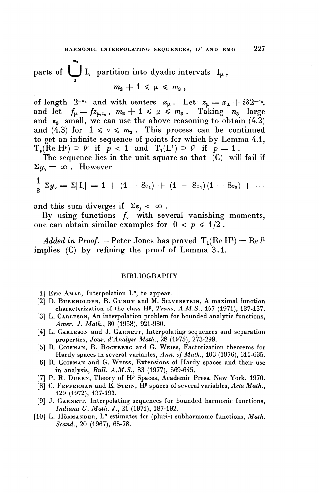parts of 
$$
\bigcup_{2}^{m_1} I_{\nu}
$$
 partition into dyadic intervals  $I_{\mu}$ ,  
\n $m_2 + 1 \leq \mu \leq m_3$ ,

of length  $2^{-n_3}$  and with centers  $x_\mu$ . Let  $z_\mu = x_\mu + i \delta 2^{-n_3}$ , and let  $f_{\mu} = fz_{\mu,\epsilon_3}, m_2 + 1 \leq \mu \leq m_3$ . Taking  $n_3$  large and  $\varepsilon_3$  small, we can use the above reasoning to obtain (4.2) and (4.3) for  $1 \le v \le m_3$ . This process can be continued to get an infinite sequence of points for which by Lemma 4.1,  $T_p(\text{Re } H^p) \supset l^p$  if  $p < 1$  and  $T_1(L^1) \supset l^1$  if  $p = 1$ .

The sequence lies in the unit square so that (C) will fail if  $\Sigma y_{\rm v} = \infty$ . However

$$
\frac{1}{8}\Sigma y_{\nu} = \Sigma |\mathrm{I}_{\nu}| = 1 + (1 - 8\epsilon_1) + (1 - 8\epsilon_1)(1 - 8\epsilon_2) + \cdots
$$

and this sum diverges if  $\Sigma \varepsilon_i < \infty$ .

By using functions  $f<sub>y</sub>$  with several vanishing moments, one can obtain similar examples for  $0 < p \leq 1/2$ .

 $A$ *dded in Proof.* — Peter Jones has proved  $\rm T_1(\rm Re\,H^1)=\rm Re\,\it l^1$ implies (C) by refining the proof of Lemma 3.1.

#### BIBLIOGRAPHY

- [1] Eric AMAR, Interpolation  $L^p$ , to appear.
- [2] D. BURKHOLDER, R. GUNDY and M. SILVERSTEIN, A maximal function characterization of the class *W, Trans. A.M.S.,* 157 (1971), 137-157.
- [3] L. CARLESON, An interpolation problem for bounded analytic functions, *Amer,* J. *Math.,* 80 (1958), 921-930.
- [4] L. CARLESON and J. GARNETT, Interpolating sequences and separation properties, *Jour. d'Analyse Math.,* 28 (1975), 273-299.
- [5] R. COIFMAN, R. ROCHBERG and G. WEISS, Factorization theorems for Hardy spaces in several variables, *Ann. of Math.,* 103 (1976), 611-635.
- [6] R. COIFMAN and G. WEISS, Extensions of Hardy spaces and their use in analysis, *Bull. A.M.S.,* 83 (1977), 569-645.
- [7] P. R. DUREN, Theory of H<sup>p</sup> Spaces, Academic Press, New York, 1970.
- [8] C. FEFFERMAN and E. STEIN, H<sup>p</sup> spaces of several variables, Acta Math., 129 (1972), 137-193.
- [9] J. GARNETT, Interpolating sequences for bounded harmonic functions, *Indiana U. Math.* J., 21 (1971), 187-192.
- [10] L. Hörmander, L<sup>p</sup> estimates for (pluri-) subharmonic functions, *Math. Scand.,* **20** (1967), **65-78.**